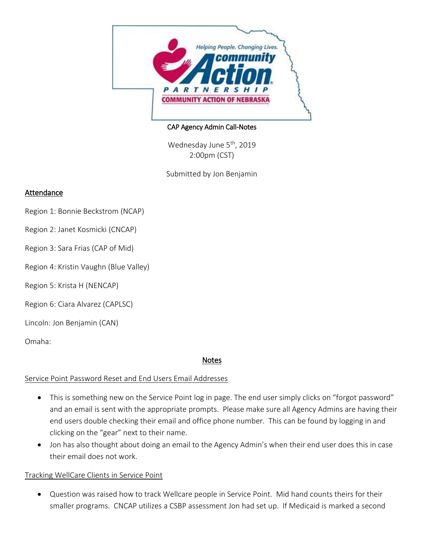

### CAP Agency Admin Call-Notes

Wednesday June 5<sup>th</sup>, 2019 2:00pm (CST)

Submitted by Jon Benjamin

## **Attendance**

- Region 1: Bonnie Beckstrom (NCAP)
- Region 2: Janet Kosmicki (CNCAP)
- Region 3: Sara Frias (CAP of Mid)
- Region 4: Kristin Vaughn (Blue Valley)
- Region 5: Krista H (NENCAP)
- Region 6: Ciara Alvarez (CAPLSC)

# Lincoln: Jon Benjamin (CAN)

Omaha:

# Notes

## Service Point Password Reset and End Users Email Addresses

- This is something new on the Service Point log in page. The end user simply clicks on "forgot password" and an email is sent with the appropriate prompts. Please make sure all Agency Admins are having their end users double checking their email and office phone number. This can be found by logging in and clicking on the "gear" next to their name.
- Jon has also thought about doing an email to the Agency Admin's when their end user does this in case their email does not work.

## Tracking WellCare Clients in Service Point

 Question was raised how to track Wellcare people in Service Point. Mid hand counts theirs for their smaller programs. CNCAP utilizes a CSBP assessment Jon had set up. If Medicaid is marked a second